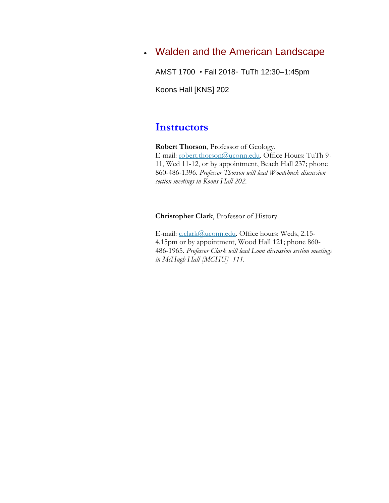## Walden and the American Landscape

AMST 1700 • Fall 2018- TuTh 12:30–1:45pm

Koons Hall [KNS] 202

## **Instructors**

**Robert Thorson**, Professor of Geology. E-mail: [robert.thorson@uconn.edu.](mailto:robert.thorson@uconn.edu) Office Hours: TuTh 9-11, Wed 11-12, or by appointment, Beach Hall 237; phone 860-486-1396. *Professor Thorson will lead Woodchuck discussion section meetings in Koons Hall 202.*

**Christopher Clark**, Professor of History.

E-mail: [c.clark@uconn.edu.](mailto:c.clark@uconn.edu) Office hours: Weds, 2.15-4.15pm or by appointment, Wood Hall 121; phone 860- 486-1965. *Professor Clark will lead Loon discussion section meetings in McHugh Hall [MCHU] 111.*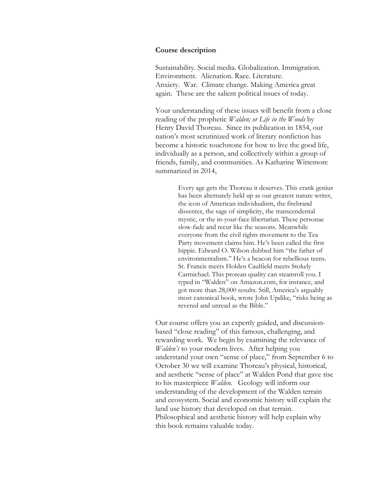#### **Course description**

Sustainability. Social media. Globalization. Immigration. Environment. Alienation. Race. Literature. Anxiety. War. Climate change. Making America great again. These are the salient political issues of today.

Your understanding of these issues will benefit from a close reading of the prophetic *Walden; or Life in the Woods* by Henry David Thoreau. Since its publication in 1854, our nation's most scrutinized work of literary nonfiction has become a historic touchstone for how to live the good life, individually as a person, and collectively within a group of friends, family, and communities. As Katharine Wittemore summarized in 2014,

> Every age gets the Thoreau it deserves. This crank genius has been alternately held up as our greatest nature writer, the icon of American individualism, the firebrand dissenter, the sage of simplicity, the transcendental mystic, or the in-your-face libertarian. These personae slow-fade and recur like the seasons. Meanwhile everyone from the civil rights movement to the Tea Party movement claims him. He's been called the first hippie. Edward O. Wilson dubbed him "the father of environmentalism." He's a beacon for rebellious teens. St. Francis meets Holden Caulfield meets Stokely Carmichael. This protean quality can steamroll you. I typed in "Walden" on Amazon.com, for instance, and got more than 28,000 results. Still, America's arguably most canonical book, wrote John Updike, "risks being as revered and unread as the Bible."

Our course offers you an expertly guided, and discussionbased "close reading" of this famous, challenging, and rewarding work. We begin by examining the relevance of *Walden's* to your modern lives. After helping you understand your own "sense of place," from September 6 to October 30 we will examine Thoreau's physical, historical, and aesthetic "sense of place" at Walden Pond that gave rise to his masterpiece *Walden.* Geology will inform our understanding of the development of the Walden terrain and ecosystem. Social and economic history will explain the land use history that developed on that terrain. Philosophical and aesthetic history will help explain why this book remains valuable today.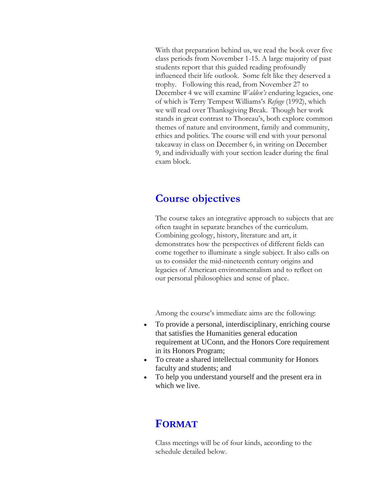With that preparation behind us, we read the book over five class periods from November 1-15. A large majority of past students report that this guided reading profoundly influenced their life outlook. Some felt like they deserved a trophy. Following this read, from November 27 to December 4 we will examine *Walden's* enduring legacies, one of which is Terry Tempest Williams's *Refuge* (1992), which we will read over Thanksgiving Break. Though her work stands in great contrast to Thoreau's, both explore common themes of nature and environment, family and community, ethics and politics. The course will end with your personal takeaway in class on December 6, in writing on December 9, and individually with your section leader during the final exam block.

## **Course objectives**

The course takes an integrative approach to subjects that are often taught in separate branches of the curriculum. Combining geology, history, literature and art, it demonstrates how the perspectives of different fields can come together to illuminate a single subject. It also calls on us to consider the mid-nineteenth century origins and legacies of American environmentalism and to reflect on our personal philosophies and sense of place.

Among the course's immediate aims are the following:

- To provide a personal, interdisciplinary, enriching course that satisfies the Humanities general education requirement at UConn, and the Honors Core requirement in its Honors Program;
- To create a shared intellectual community for Honors faculty and students; and
- To help you understand yourself and the present era in which we live.

### **FORMAT**

Class meetings will be of four kinds, according to the schedule detailed below.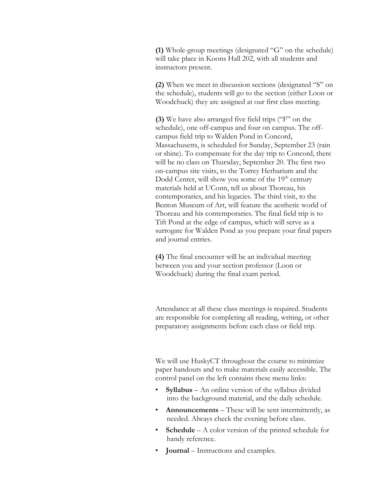**(1)** Whole-group meetings (designated "G" on the schedule) will take place in Koons Hall 202, with all students and instructors present.

**(2)** When we meet in discussion sections (designated "S" on the schedule), students will go to the section (either Loon or Woodchuck) they are assigned at our first class meeting.

**(3)** We have also arranged five field trips ("F" on the schedule), one off-campus and four on campus. The offcampus field trip to Walden Pond in Concord, Massachusetts, is scheduled for Sunday, September 23 (rain or shine). To compensate for the day trip to Concord, there will be no class on Thursday, September 20. The first two on-campus site visits, to the Torrey Herbarium and the Dodd Center, will show you some of the 19<sup>th</sup> century materials held at UConn, tell us about Thoreau, his contemporaries, and his legacies. The third visit, to the Benton Museum of Art, will feature the aesthetic world of Thoreau and his contemporaries. The final field trip is to Tift Pond at the edge of campus, which will serve as a surrogate for Walden Pond as you prepare your final papers and journal entries.

**(4)** The final encounter will be an individual meeting between you and your section professor (Loon or Woodchuck) during the final exam period.

Attendance at all these class meetings is required. Students are responsible for completing all reading, writing, or other preparatory assignments before each class or field trip.

We will use HuskyCT throughout the course to minimize paper handouts and to make materials easily accessible. The control panel on the left contains these menu links:

- **Syllabus** An online version of the syllabus divided into the background material, and the daily schedule.
- **Announcements** These will be sent intermittently, as needed. Always check the evening before class.
- **Schedule** A color version of the printed schedule for handy reference.
- **Journal** Instructions and examples.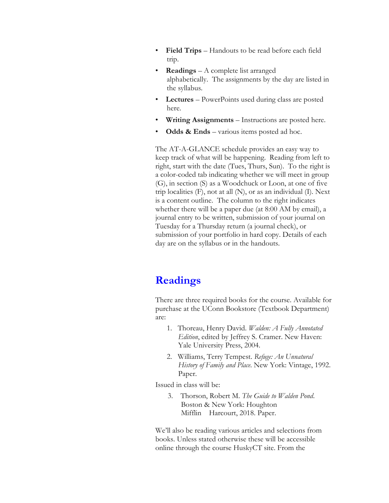- **Field Trips**  Handouts to be read before each field trip.
- **Readings**  A complete list arranged alphabetically. The assignments by the day are listed in the syllabus.
- **Lectures**  PowerPoints used during class are posted here.
- **Writing Assignments** Instructions are posted here.
- **Odds & Ends** various items posted ad hoc.

The AT-A-GLANCE schedule provides an easy way to keep track of what will be happening. Reading from left to right, start with the date (Tues, Thurs, Sun). To the right is a color-coded tab indicating whether we will meet in group (G), in section (S) as a Woodchuck or Loon, at one of five trip localities (F), not at all (N), or as an individual (I). Next is a content outline. The column to the right indicates whether there will be a paper due (at 8:00 AM by email), a journal entry to be written, submission of your journal on Tuesday for a Thursday return (a journal check), or submission of your portfolio in hard copy. Details of each day are on the syllabus or in the handouts.

# **Readings**

There are three required books for the course. Available for purchase at the UConn Bookstore (Textbook Department) are:

- 1. Thoreau, Henry David. *Walden: A Fully Annotated Edition*, edited by Jeffrey S. Cramer. New Haven: Yale University Press, 2004.
- 2. Williams, Terry Tempest. *Refuge: An Unnatural History of Family and Place*. New York: Vintage, 1992. Paper.

Issued in class will be:

3. Thorson, Robert M. *The Guide to Walden Pond*. Boston & New York: Houghton Mifflin Harcourt, 2018. Paper.

We'll also be reading various articles and selections from books. Unless stated otherwise these will be accessible online through the course HuskyCT site. From the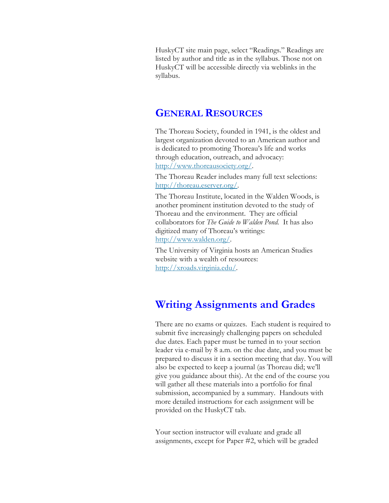HuskyCT site main page, select "Readings." Readings are listed by author and title as in the syllabus. Those not on HuskyCT will be accessible directly via weblinks in the syllabus.

### **GENERAL RESOURCES**

The Thoreau Society, founded in 1941, is the oldest and largest organization devoted to an American author and is dedicated to promoting Thoreau's life and works through education, outreach, and advocacy: http://www.thoreausociety.org/

The Thoreau Reader includes many full text selections: [http://thoreau.eserver.org/.](http://thoreau.eserver.org/)

The Thoreau Institute, located in the Walden Woods, is another prominent institution devoted to the study of Thoreau and the environment. They are official collaborators for *The Guide to Walden Pond.* It has also digitized many of Thoreau's writings: [http://www.walden.org/.](http://www.walden.org/)

The University of Virginia hosts an American Studies website with a wealth of resources: [http://xroads.virginia.edu/.](http://xroads.virginia.edu/)

# **Writing Assignments and Grades**

There are no exams or quizzes. Each student is required to submit five increasingly challenging papers on scheduled due dates. Each paper must be turned in to your section leader via e-mail by 8 a.m. on the due date, and you must be prepared to discuss it in a section meeting that day. You will also be expected to keep a journal (as Thoreau did; we'll give you guidance about this). At the end of the course you will gather all these materials into a portfolio for final submission, accompanied by a summary. Handouts with more detailed instructions for each assignment will be provided on the HuskyCT tab.

Your section instructor will evaluate and grade all assignments, except for Paper #2, which will be graded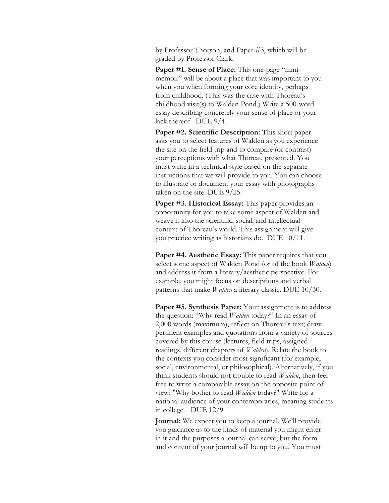by Professor Thorson, and Paper #3, which will be graded by Professor Clark.

**Paper #1. Sense of Place:** This one-page "minimemoir" will be about a place that was important to you when you when forming your core identity, perhaps from childhood. (This was the case with Thoreau's childhood visit(s) to Walden Pond.) Write a 500-word essay describing concretely your sense of place or your lack thereof. DUE 9/4.

**Paper #2. Scientific Description:** This short paper asks you to select features of Walden as you experience the site on the field trip and to compare (or contrast) your perceptions with what Thoreau presented. You must write in a technical style based on the separate instructions that we will provide to you. You can choose to illustrate or document your essay with photographs taken on the site. DUE 9/25.

**Paper #3. Historical Essay:** This paper provides an opportunity for you to take some aspect of Walden and weave it into the scientific, social, and intellectual context of Thoreau's world. This assignment will give you practice writing as historians do. DUE 10/11.

**Paper #4. Aesthetic Essay:** This paper requires that you select some aspect of Walden Pond (or of the book *Walden*) and address it from a literary/aesthetic perspective. For example, you might focus on descriptions and verbal patterns that make *Walden* a literary classic. DUE 10/30.

**Paper #5. Synthesis Paper:** Your assignment is to address the question: "Why read *Walden* today?" In an essay of 2,000 words (maximum), reflect on Thoreau's text; draw pertinent examples and quotations from a variety of sources covered by this course (lectures, field trips, assigned readings, different chapters of *Walden*). Relate the book to the contexts you consider most significant (for example, social, environmental, or philosophical). Alternatively, if you think students should not trouble to read *Walden*, then feel free to write a comparable essay on the opposite point of view: "Why bother to read *Walden* today?" Write for a national audience of your contemporaries, meaning students in college. DUE 12/9*.*

**Journal:** We expect you to keep a journal. We'll provide you guidance as to the kinds of material you might enter in it and the purposes a journal can serve, but the form and content of your journal will be up to you. You must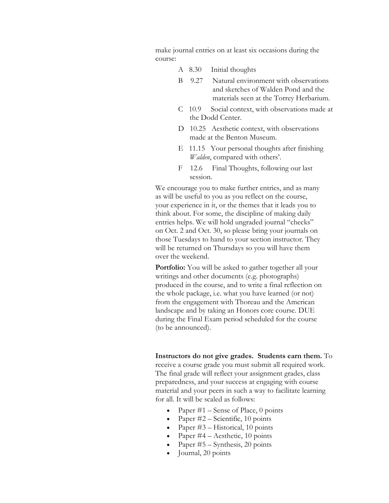make journal entries on at least six occasions during the course:

- A 8.30 Initial thoughts
- B 9.27 Natural environment with observations and sketches of Walden Pond and the materials seen at the Torrey Herbarium.
- C 10.9 Social context, with observations made at the Dodd Center.
- D 10.25 Aesthetic context, with observations made at the Benton Museum.
- E 11.15 Your personal thoughts after finishing *Walden*, compared with others'.
- F 12.6 Final Thoughts, following our last session.

We encourage you to make further entries, and as many as will be useful to you as you reflect on the course, your experience in it, or the themes that it leads you to think about. For some, the discipline of making daily entries helps. We will hold ungraded journal "checks" on Oct. 2 and Oct. 30, so please bring your journals on those Tuesdays to hand to your section instructor. They will be returned on Thursdays so you will have them over the weekend.

**Portfolio:** You will be asked to gather together all your writings and other documents (e.g. photographs) produced in the course, and to write a final reflection on the whole package, i.e. what you have learned (or not) from the engagement with Thoreau and the American landscape and by taking an Honors core course. DUE during the Final Exam period scheduled for the course (to be announced).

**Instructors do not give grades. Students earn them.** To receive a course grade you must submit all required work. The final grade will reflect your assignment grades, class preparedness, and your success at engaging with course material and your peers in such a way to facilitate learning for all. It will be scaled as follows:

- Paper  $#1$  Sense of Place, 0 points
- Paper #2 Scientific, 10 points
- Paper #3 Historical, 10 points
- Paper #4 Aesthetic, 10 points
- Paper #5 Synthesis, 20 points
- Journal, 20 points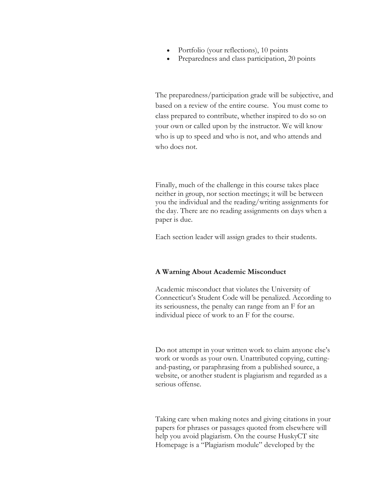- Portfolio (your reflections), 10 points
- Preparedness and class participation, 20 points

The preparedness/participation grade will be subjective, and based on a review of the entire course. You must come to class prepared to contribute, whether inspired to do so on your own or called upon by the instructor. We will know who is up to speed and who is not, and who attends and who does not.

Finally, much of the challenge in this course takes place neither in group, nor section meetings; it will be between you the individual and the reading/writing assignments for the day. There are no reading assignments on days when a paper is due.

Each section leader will assign grades to their students.

#### **A Warning About Academic Misconduct**

Academic misconduct that violates the University of Connecticut's Student Code will be penalized. According to its seriousness, the penalty can range from an F for an individual piece of work to an F for the course.

Do not attempt in your written work to claim anyone else's work or words as your own. Unattributed copying, cuttingand-pasting, or paraphrasing from a published source, a website, or another student is plagiarism and regarded as a serious offense.

Taking care when making notes and giving citations in your papers for phrases or passages quoted from elsewhere will help you avoid plagiarism. On the course HuskyCT site Homepage is a "Plagiarism module" developed by the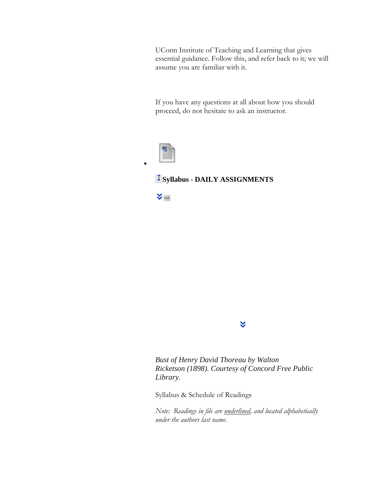UConn Institute of Teaching and Learning that gives essential guidance. Follow this, and refer back to it; we will assume you are familiar with it.

If you have any questions at all about how you should proceed, do not hesitate to ask an instructor.



 $\bullet$ 

### **Syllabus - DAILY ASSIGNMENTS**



*Bust of Henry David Thoreau by Walton Ricketson (1898). Courtesy of Concord Free Public Library.*

¥

Syllabus & Schedule of Readings

*Note: Readings in file are underlined, and located alphabetically under the authors last name.*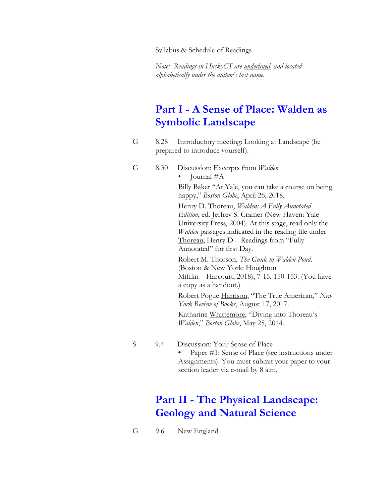Syllabus & Schedule of Readings

*Note: Readings in HuskyCT are underlined, and located alphabetically under the author's last name.* 

# **Part I - A Sense of Place: Walden as Symbolic Landscape**

G 8.28 Introductory meeting: Looking at Landscape (be prepared to introduce yourself).

#### G 8.30 Discussion: Excerpts from *Walden* • Journal #A

Billy Baker "At Yale, you can take a course on being happy," *Boston Globe*, April 26, 2018. Henry D. Thoreau, *Walden: A Fully Annotated Edition*, ed. Jeffrey S. Cramer (New Haven: Yale University Press, 2004). At this stage, read only the

*Walden* passages indicated in the reading file under Thoreau, Henry D – Readings from "Fully Annotated" for first Day.

Robert M. Thorson, *The Guide to Walden Pond*. (Boston & New York: Houghton Mifflin Harcourt, 2018), 7-15, 150-153. (You have a copy as a handout.)

Robert Pogue Harrison, "The True American," *New York Review of Books*, August 17, 2017.

Katharine Whittemore, "Diving into Thoreau's *Walden*," *Boston Globe*, May 25, 2014.

- 
- S 9.4 Discussion: Your Sense of Place

**•** Paper #1: Sense of Place (see instructions under Assignments). You must submit your paper to your section leader via e-mail by 8 a.m.

# **Part II - The Physical Landscape: Geology and Natural Science**

G 9.6 New England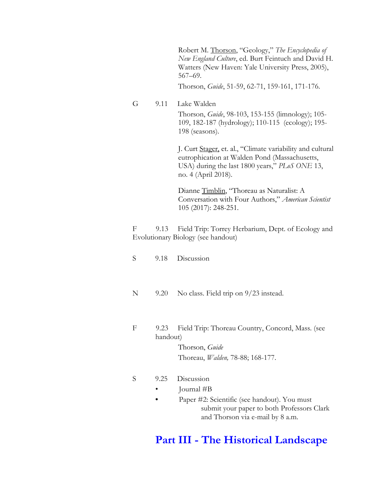Robert M. Thorson, "Geology," *The Encyclopedia of New England Culture*, ed. Burt Feintuch and David H. Watters (New Haven: Yale University Press, 2005), 567–69.

Thorson, *Guide*, 51-59, 62-71, 159-161, 171-176.

G 9.11 Lake Walden Thorson, *Guide*, 98-103, 153-155 (limnology); 105- 109, 182-187 (hydrology); 110-115 (ecology); 195- 198 (seasons).

> J. Curt Stager, et. al., "Climate variability and cultural eutrophication at Walden Pond (Massachusetts, USA) during the last 1800 years," *PLoS ONE* 13, no. 4 (April 2018).

Dianne Timblin, "Thoreau as Naturalist: A Conversation with Four Authors," *American Scientist* 105 (2017): 248-251.

F 9.13 Field Trip: Torrey Herbarium, Dept. of Ecology and Evolutionary Biology (see handout)

- S 9.18 Discussion
- N 9.20 No class. Field trip on 9/23 instead.
- F 9.23 Field Trip: Thoreau Country, Concord, Mass. (see handout) Thorson, *Guide*

Thoreau, *Walden,* 78-88; 168-177.

#### S 9.25 Discussion

- Journal #B
- Paper #2: Scientific (see handout). You must submit your paper to both Professors Clark and Thorson via e-mail by 8 a.m.

## **Part III - The Historical Landscape**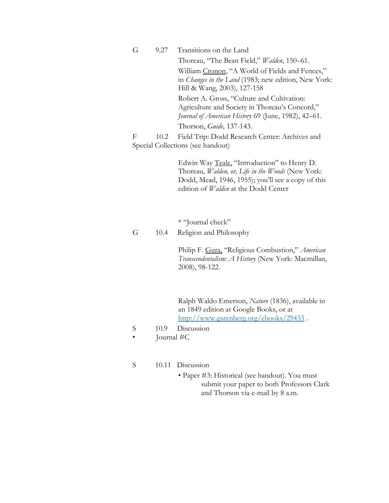G 9.27 Transitions on the Land

Thoreau, "The Bean Field," *Walden*, 150–61.

William Cronon, "A World of Fields and Fences," in *Changes in the Land* (1983; new edition, New York: Hill & Wang, 2003), 127-158

Robert A. Gross, "Culture and Cultivation: Agriculture and Society in Thoreau's Concord," *Journal of American History* 69 (June, 1982), 42–61.

Thorson, *Guide,* 137-143*.*

F 10.2 Field Trip: Dodd Research Center: Archives and Special Collections (see handout)

> Edwin Way Teale, "Introduction" to Henry D. Thoreau, *Walden, or, Life in the Woods* (New York: Dodd, Mead, 1946, 1955); you'll see a copy of this edition of *Walden* at the Dodd Center

\* "Journal check"

G 10.4 Religion and Philosophy

Philip F. Gura, "Religious Combustion," *American Transcendentalism: A History* (New York: Macmillan, 2008), 98-122.

Ralph Waldo Emerson, *Nature* (1836), available in an 1849 edition at Google Books, or at <http://www.gutenberg.org/ebooks/29433> .

- S 10.9 Discussion
- Journal #C
- S 10.11 Discussion
	- Paper #3: Historical (see handout). You must submit your paper to both Professors Clark and Thorson via e-mail by 8 a.m.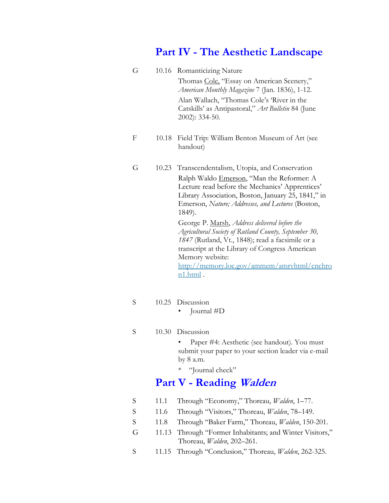## **Part IV - The Aesthetic Landscape**

- G 10.16 Romanticizing Nature Thomas Cole, "Essay on American Scenery," *American Monthly Magazine* 7 (Jan. 1836), 1-12. Alan Wallach, "Thomas Cole's 'River in the Catskills' as Antipastoral," *Art Bulletin* 84 (June 2002): 334-50.
- F 10.18 Field Trip: William Benton Museum of Art (see handout)
- G 10.23 Transcendentalism, Utopia, and Conservation Ralph Waldo Emerson, "Man the Reformer: A Lecture read before the Mechanics' Apprentices' Library Association, Boston, January 25, 1841," in Emerson, *Nature; Addresses, and Lectures* (Boston, 1849).

George P. Marsh, *Address delivered before the Agricultural Society of Rutland County, September 30, 1847* (Rutland, Vt., 1848); read a facsimile or a transcript at the Library of Congress American Memory website:

[http://memory.loc.gov/ammem/amrvhtml/cnchro](http://memory.loc.gov/ammem/amrvhtml/cnchron1.html) [n1.html](http://memory.loc.gov/ammem/amrvhtml/cnchron1.html) .

### S 10.25 Discussion

• Journal #D

#### S 10.30 Discussion

• Paper #4: Aesthetic (see handout). You must submit your paper to your section leader via e-mail by 8 a.m.

\* "Journal check"

### **Part V - Reading Walden**

- S 11.1 Through "Economy," Thoreau, *Walden*, 1–77.
- S 11.6 Through "Visitors," Thoreau, *Walden*, 78–149.
- S 11.8 Through "Baker Farm," Thoreau, *Walden*, 150-201.
- G 11.13 Through "Former Inhabitants; and Winter Visitors," Thoreau, *Walden*, 202–261.
- S 11.15 Through "Conclusion," Thoreau, *Walden*, 262-325.